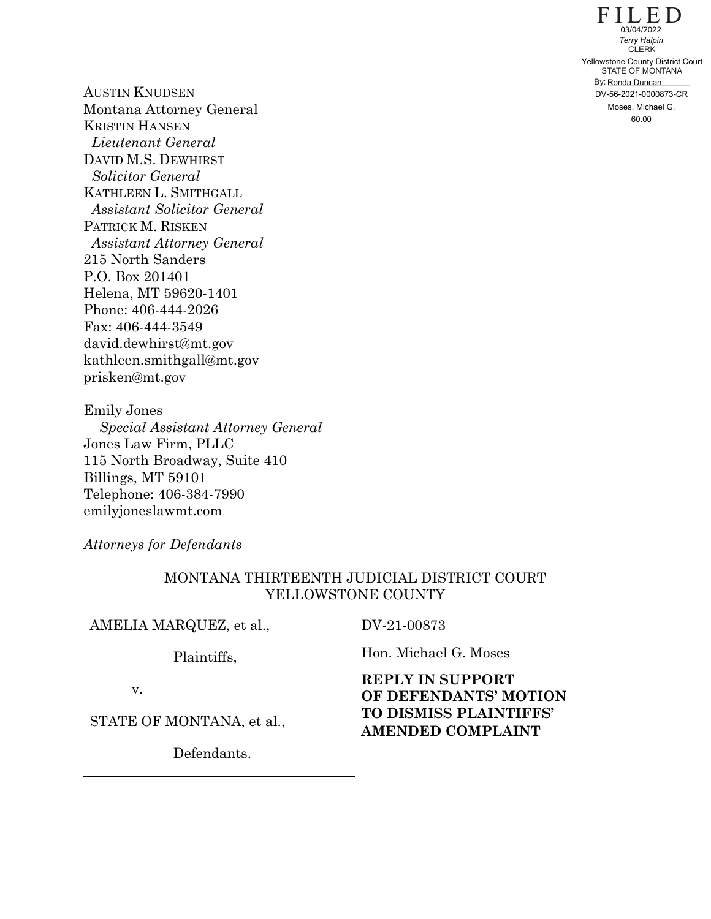$FILE D$ STATE OF MONTANA By: Ronda Duncan CLERK 60.000 Yellowstone CuERK<br>
7 Halpin<br>
7 Halpin<br>
7 Halpin<br>
7 Halpin<br>
7 Halpin<br>
8 Y: Ronda Duncan<br>
DV-56-2021-0000873-CR<br>
Moses, Michael G.<br>
60.00

AUSTIN KNUDSEN Montana Attorney General KRISTIN HANSEN *Lieutenant General*  DAVID M.S. DEWHIRST *Solicitor General*  KATHLEEN L. SMITHGALL *Assistant Solicitor General*  PATRICK M. RISKEN *Assistant Attorney General*  215 North Sanders P.O. Box 201401 Helena, MT 59620-1401 Phone: 406-444-2026 Fax: 406-444-3549 david.dewhirst@mt.gov kathleen.smithgall@mt.gov prisken@mt.gov

Emily Jones  *Special Assistant Attorney General*  Jones Law Firm, PLLC 115 North Broadway, Suite 410 Billings, MT 59101 Telephone: 406-384-7990 emilyjoneslawmt.com

*Attorneys for Defendants*

### MONTANA THIRTEENTH JUDICIAL DISTRICT COURT YELLOWSTONE COUNTY

AMELIA MARQUEZ, et al.,

Plaintiffs,

Hon. Michael G. Moses

DV-21-00873

v.

STATE OF MONTANA, et al.,

Defendants.

**REPLY IN SUPPORT OF DEFENDANTS' MOTION TO DISMISS PLAINTIFFS' AMENDED COMPLAINT**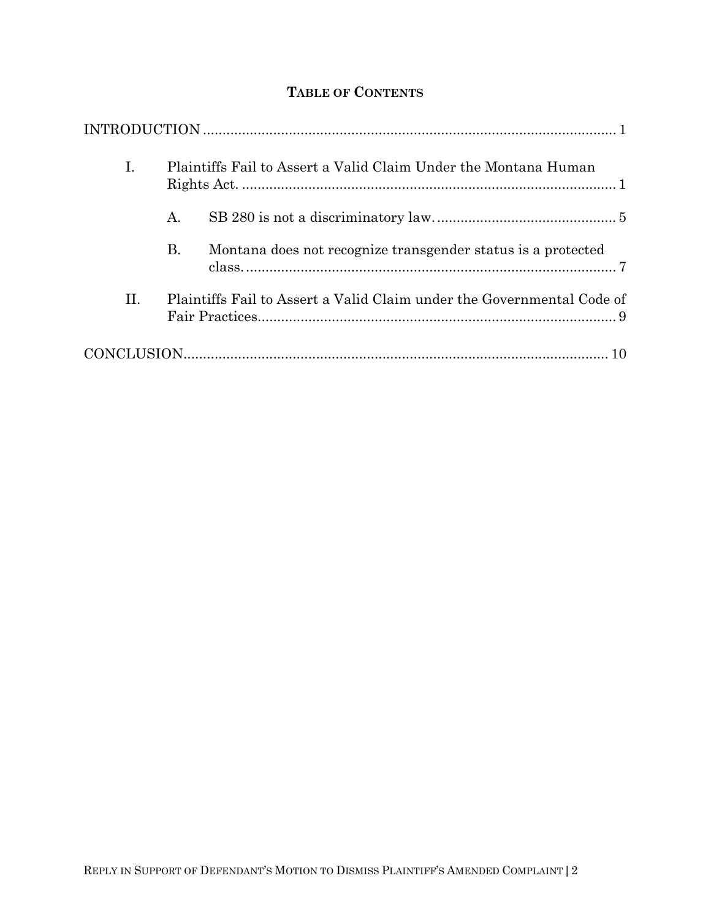# **TABLE OF CONTENTS**

| I.  | Plaintiffs Fail to Assert a Valid Claim Under the Montana Human |                                                                        |  |
|-----|-----------------------------------------------------------------|------------------------------------------------------------------------|--|
|     | A.                                                              |                                                                        |  |
|     | Β.                                                              | Montana does not recognize transgender status is a protected           |  |
| II. |                                                                 | Plaintiffs Fail to Assert a Valid Claim under the Governmental Code of |  |
|     |                                                                 |                                                                        |  |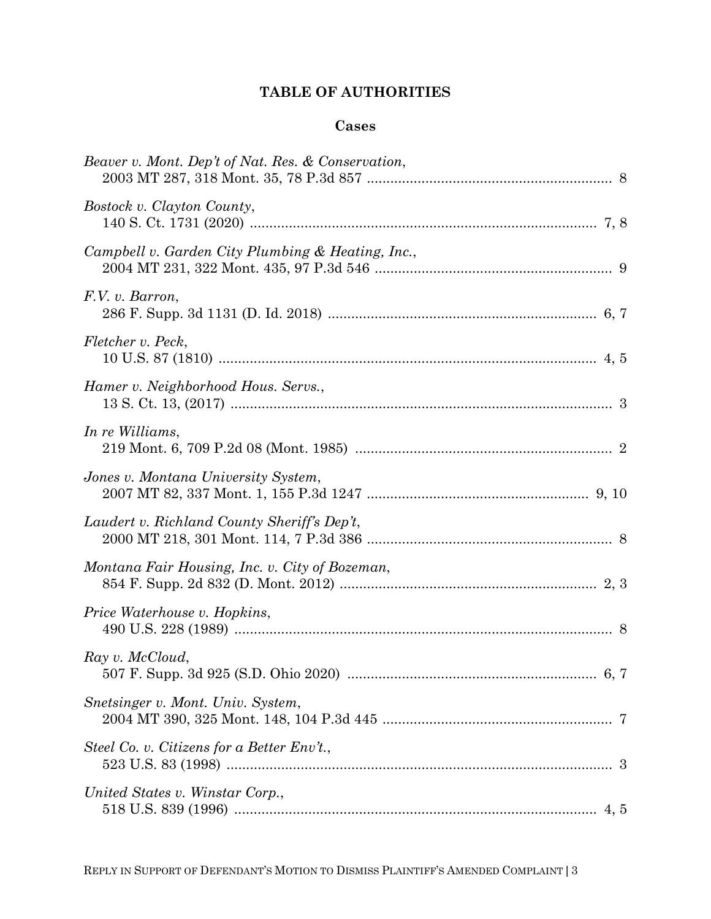# **TABLE OF AUTHORITIES**

## **Cases**

| Beaver v. Mont. Dep't of Nat. Res. & Conservation, |
|----------------------------------------------------|
| Bostock v. Clayton County,                         |
| Campbell v. Garden City Plumbing & Heating, Inc.,  |
| F.V. v. Barron,                                    |
| Fletcher v. Peck,                                  |
| Hamer v. Neighborhood Hous. Servs.,                |
| In re Williams,                                    |
| Jones v. Montana University System,                |
| Laudert v. Richland County Sheriff's Dep't,        |
| Montana Fair Housing, Inc. v. City of Bozeman,     |
| Price Waterhouse v. Hopkins,                       |
| Ray v. McCloud,                                    |
| Snetsinger v. Mont. Univ. System,                  |
| Steel Co. v. Citizens for a Better Env't.,         |
| United States v. Winstar Corp.,                    |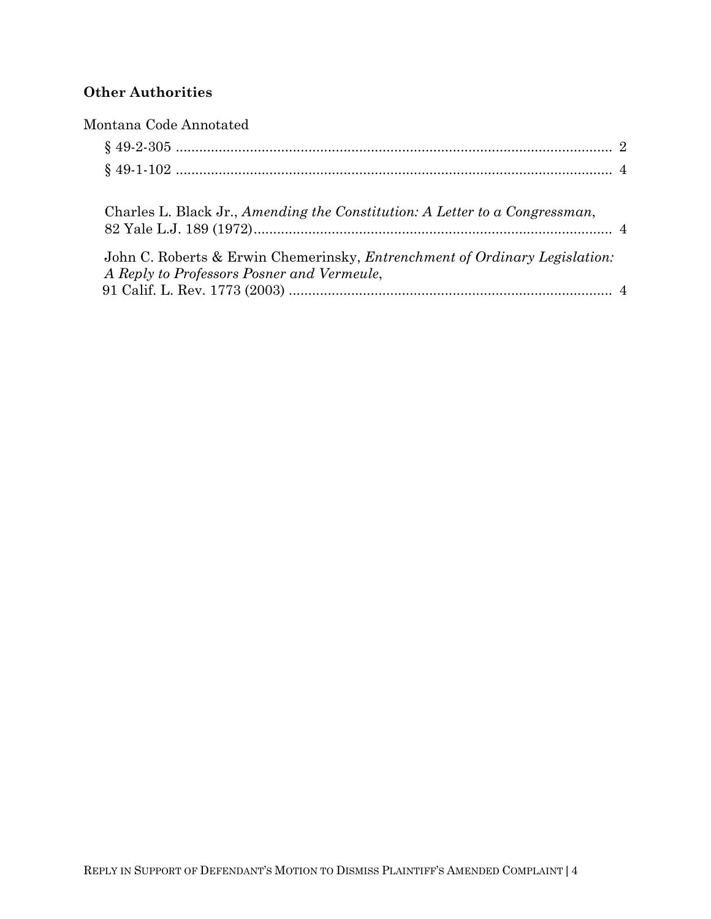# **Other Authorities**

| Montana Code Annotated                                                                                                           |  |
|----------------------------------------------------------------------------------------------------------------------------------|--|
|                                                                                                                                  |  |
|                                                                                                                                  |  |
| Charles L. Black Jr., Amending the Constitution: A Letter to a Congressman,                                                      |  |
| John C. Roberts & Erwin Chemerinsky, <i>Entrenchment of Ordinary Legislation</i> :<br>A Reply to Professors Posner and Vermeule, |  |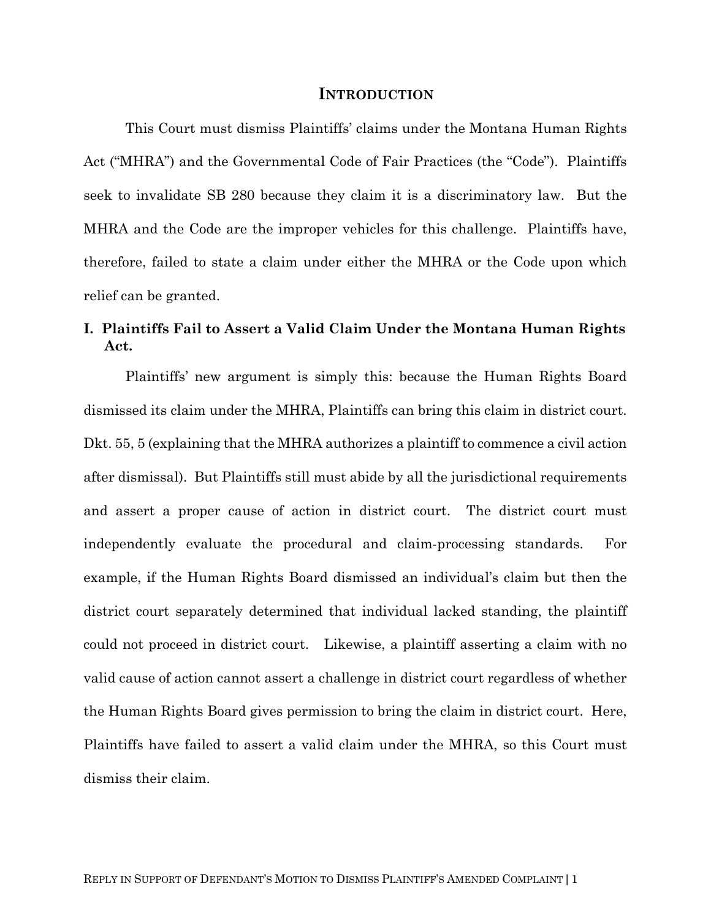#### **INTRODUCTION**

This Court must dismiss Plaintiffs' claims under the Montana Human Rights Act ("MHRA") and the Governmental Code of Fair Practices (the "Code"). Plaintiffs seek to invalidate SB 280 because they claim it is a discriminatory law. But the MHRA and the Code are the improper vehicles for this challenge. Plaintiffs have, therefore, failed to state a claim under either the MHRA or the Code upon which relief can be granted.

## **I. Plaintiffs Fail to Assert a Valid Claim Under the Montana Human Rights Act.**

Plaintiffs' new argument is simply this: because the Human Rights Board dismissed its claim under the MHRA, Plaintiffs can bring this claim in district court. Dkt. 55, 5 (explaining that the MHRA authorizes a plaintiff to commence a civil action after dismissal). But Plaintiffs still must abide by all the jurisdictional requirements and assert a proper cause of action in district court. The district court must independently evaluate the procedural and claim-processing standards. For example, if the Human Rights Board dismissed an individual's claim but then the district court separately determined that individual lacked standing, the plaintiff could not proceed in district court. Likewise, a plaintiff asserting a claim with no valid cause of action cannot assert a challenge in district court regardless of whether the Human Rights Board gives permission to bring the claim in district court. Here, Plaintiffs have failed to assert a valid claim under the MHRA, so this Court must dismiss their claim.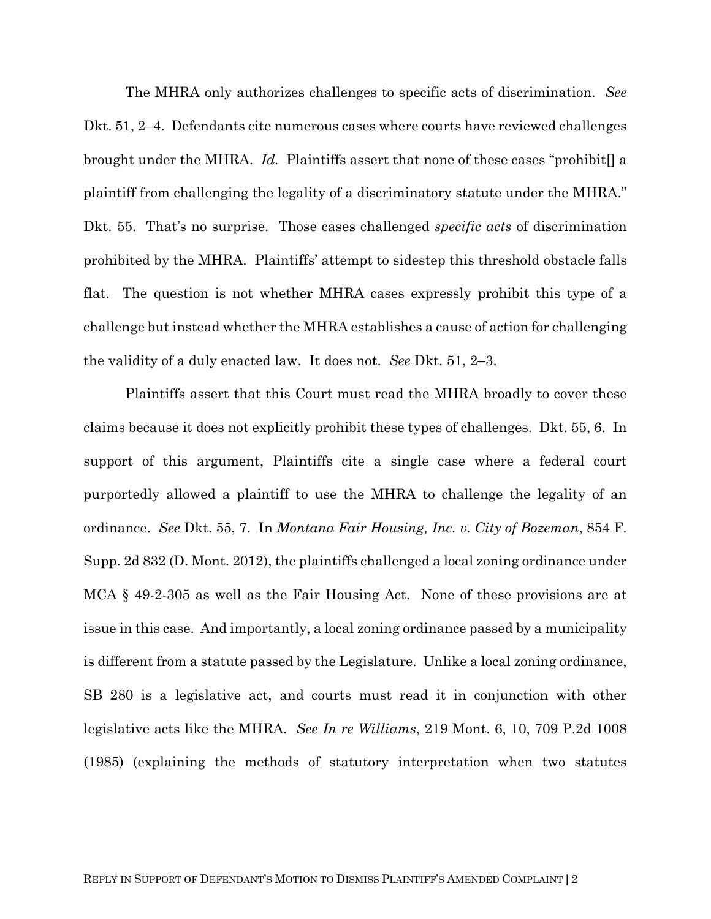The MHRA only authorizes challenges to specific acts of discrimination. *See*  Dkt. 51, 2–4. Defendants cite numerous cases where courts have reviewed challenges brought under the MHRA. *Id.* Plaintiffs assert that none of these cases "prohibit[] a plaintiff from challenging the legality of a discriminatory statute under the MHRA." Dkt. 55. That's no surprise. Those cases challenged *specific acts* of discrimination prohibited by the MHRA. Plaintiffs' attempt to sidestep this threshold obstacle falls flat. The question is not whether MHRA cases expressly prohibit this type of a challenge but instead whether the MHRA establishes a cause of action for challenging the validity of a duly enacted law. It does not. *See* Dkt. 51, 2–3.

Plaintiffs assert that this Court must read the MHRA broadly to cover these claims because it does not explicitly prohibit these types of challenges. Dkt. 55, 6. In support of this argument, Plaintiffs cite a single case where a federal court purportedly allowed a plaintiff to use the MHRA to challenge the legality of an ordinance. *See* Dkt. 55, 7. In *Montana Fair Housing, Inc. v. City of Bozeman*, 854 F. Supp. 2d 832 (D. Mont. 2012), the plaintiffs challenged a local zoning ordinance under MCA § 49-2-305 as well as the Fair Housing Act. None of these provisions are at issue in this case. And importantly, a local zoning ordinance passed by a municipality is different from a statute passed by the Legislature. Unlike a local zoning ordinance, SB 280 is a legislative act, and courts must read it in conjunction with other legislative acts like the MHRA. *See In re Williams*, 219 Mont. 6, 10, 709 P.2d 1008 (1985) (explaining the methods of statutory interpretation when two statutes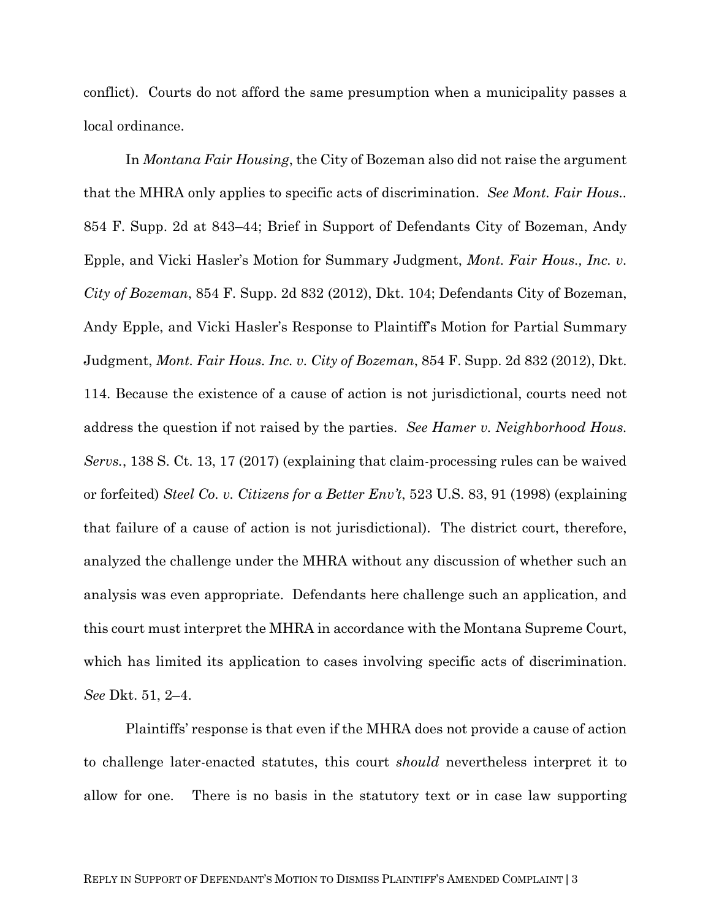conflict). Courts do not afford the same presumption when a municipality passes a local ordinance.

In *Montana Fair Housing*, the City of Bozeman also did not raise the argument that the MHRA only applies to specific acts of discrimination. *See Mont. Fair Hous..*  854 F. Supp. 2d at 843–44; Brief in Support of Defendants City of Bozeman, Andy Epple, and Vicki Hasler's Motion for Summary Judgment, *Mont. Fair Hous., Inc. v. City of Bozeman*, 854 F. Supp. 2d 832 (2012), Dkt. 104; Defendants City of Bozeman, Andy Epple, and Vicki Hasler's Response to Plaintiff's Motion for Partial Summary Judgment, *Mont. Fair Hous. Inc. v. City of Bozeman*, 854 F. Supp. 2d 832 (2012), Dkt. 114. Because the existence of a cause of action is not jurisdictional, courts need not address the question if not raised by the parties. *See Hamer v. Neighborhood Hous. Servs.*, 138 S. Ct. 13, 17 (2017) (explaining that claim-processing rules can be waived or forfeited) *Steel Co. v. Citizens for a Better Env't*, 523 U.S. 83, 91 (1998) (explaining that failure of a cause of action is not jurisdictional).The district court, therefore, analyzed the challenge under the MHRA without any discussion of whether such an analysis was even appropriate. Defendants here challenge such an application, and this court must interpret the MHRA in accordance with the Montana Supreme Court, which has limited its application to cases involving specific acts of discrimination. *See* Dkt. 51, 2–4.

Plaintiffs' response is that even if the MHRA does not provide a cause of action to challenge later-enacted statutes, this court *should* nevertheless interpret it to allow for one. There is no basis in the statutory text or in case law supporting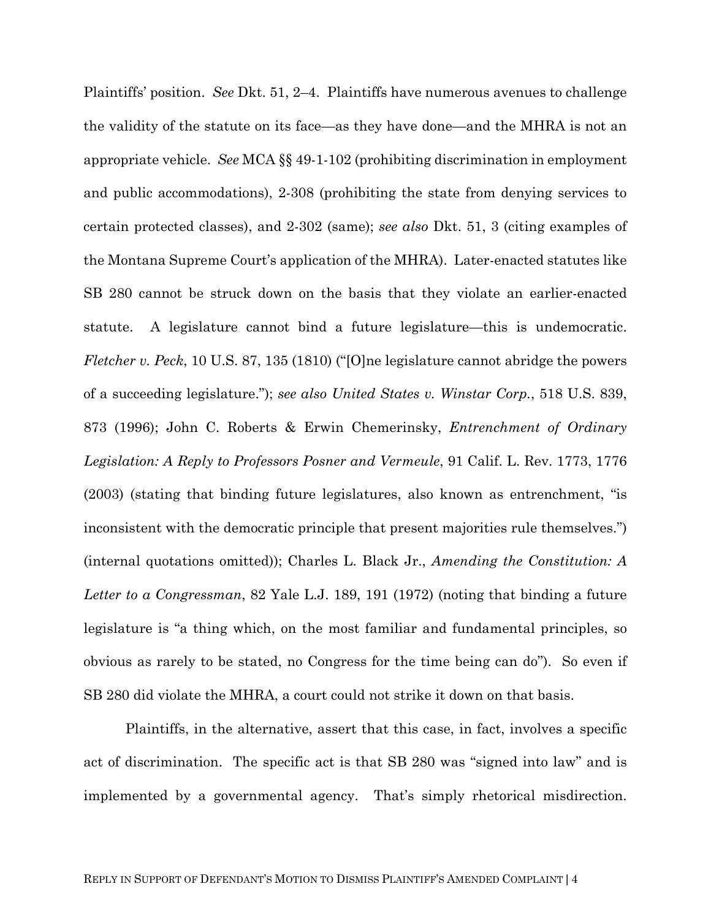Plaintiffs' position. *See* Dkt. 51, 2–4. Plaintiffs have numerous avenues to challenge the validity of the statute on its face—as they have done—and the MHRA is not an appropriate vehicle. *See* MCA §§ 49-1-102 (prohibiting discrimination in employment and public accommodations), 2-308 (prohibiting the state from denying services to certain protected classes), and 2-302 (same); *see also* Dkt. 51, 3 (citing examples of the Montana Supreme Court's application of the MHRA). Later-enacted statutes like SB 280 cannot be struck down on the basis that they violate an earlier-enacted statute. A legislature cannot bind a future legislature—this is undemocratic. *Fletcher v. Peck*, 10 U.S. 87, 135 (1810) ("[O]ne legislature cannot abridge the powers of a succeeding legislature."); *see also United States v. Winstar Corp.*, 518 U.S. 839, 873 (1996); John C. Roberts & Erwin Chemerinsky, *Entrenchment of Ordinary Legislation: A Reply to Professors Posner and Vermeule*, 91 Calif. L. Rev. 1773, 1776 (2003) (stating that binding future legislatures, also known as entrenchment, "is inconsistent with the democratic principle that present majorities rule themselves.") (internal quotations omitted)); Charles L. Black Jr., *Amending the Constitution: A Letter to a Congressman*, 82 Yale L.J. 189, 191 (1972) (noting that binding a future legislature is "a thing which, on the most familiar and fundamental principles, so obvious as rarely to be stated, no Congress for the time being can do"). So even if SB 280 did violate the MHRA, a court could not strike it down on that basis.

Plaintiffs, in the alternative, assert that this case, in fact, involves a specific act of discrimination. The specific act is that SB 280 was "signed into law" and is implemented by a governmental agency. That's simply rhetorical misdirection.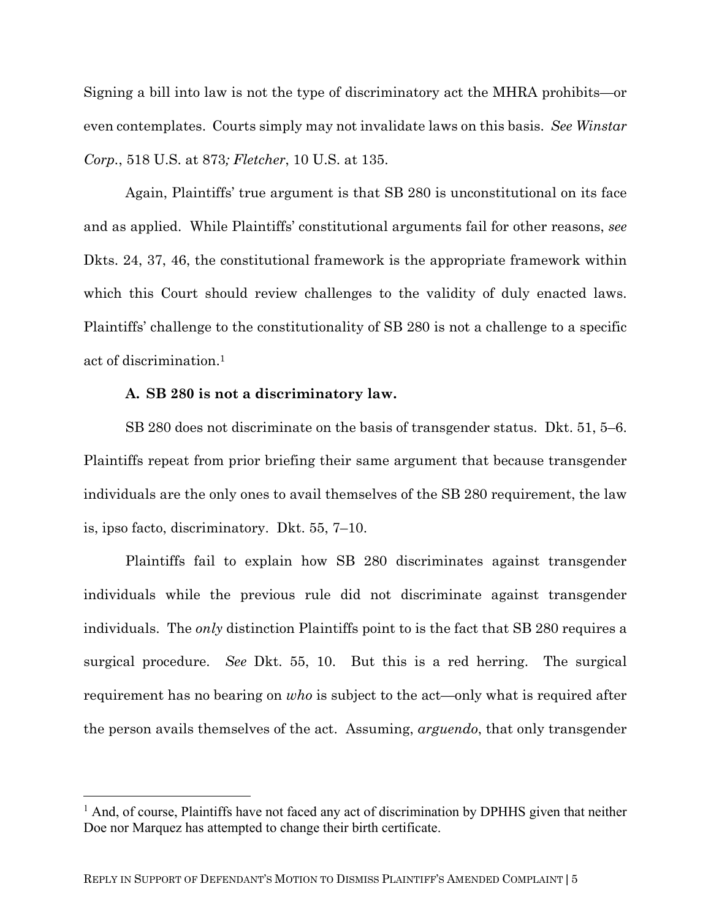Signing a bill into law is not the type of discriminatory act the MHRA prohibits—or even contemplates. Courts simply may not invalidate laws on this basis. *See Winstar Corp.*, 518 U.S. at 873*; Fletcher*, 10 U.S. at 135.

Again, Plaintiffs' true argument is that SB 280 is unconstitutional on its face and as applied. While Plaintiffs' constitutional arguments fail for other reasons, *see*  Dkts. 24, 37, 46, the constitutional framework is the appropriate framework within which this Court should review challenges to the validity of duly enacted laws. Plaintiffs' challenge to the constitutionality of SB 280 is not a challenge to a specific act of discrimination.1

#### **A. SB 280 is not a discriminatory law.**

SB 280 does not discriminate on the basis of transgender status. Dkt. 51, 5–6. Plaintiffs repeat from prior briefing their same argument that because transgender individuals are the only ones to avail themselves of the SB 280 requirement, the law is, ipso facto, discriminatory. Dkt. 55, 7–10.

Plaintiffs fail to explain how SB 280 discriminates against transgender individuals while the previous rule did not discriminate against transgender individuals. The *only* distinction Plaintiffs point to is the fact that SB 280 requires a surgical procedure. *See* Dkt. 55, 10. But this is a red herring. The surgical requirement has no bearing on *who* is subject to the act—only what is required after the person avails themselves of the act. Assuming, *arguendo*, that only transgender

<sup>&</sup>lt;sup>1</sup> And, of course, Plaintiffs have not faced any act of discrimination by DPHHS given that neither Doe nor Marquez has attempted to change their birth certificate.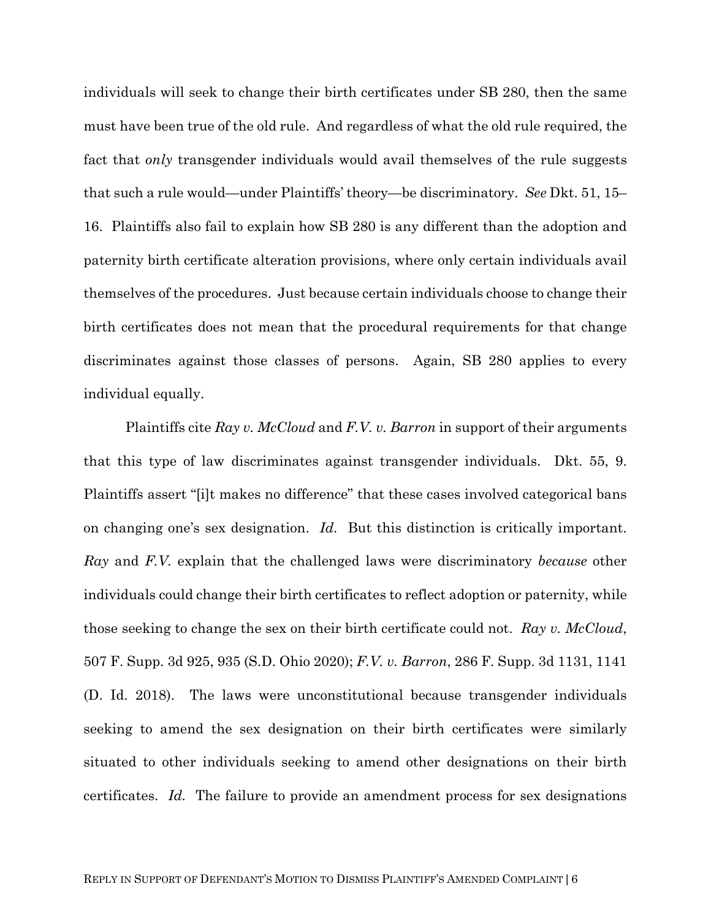individuals will seek to change their birth certificates under SB 280, then the same must have been true of the old rule. And regardless of what the old rule required, the fact that *only* transgender individuals would avail themselves of the rule suggests that such a rule would—under Plaintiffs' theory—be discriminatory. *See* Dkt. 51, 15– 16. Plaintiffs also fail to explain how SB 280 is any different than the adoption and paternity birth certificate alteration provisions, where only certain individuals avail themselves of the procedures. Just because certain individuals choose to change their birth certificates does not mean that the procedural requirements for that change discriminates against those classes of persons. Again, SB 280 applies to every individual equally.

Plaintiffs cite *Ray v. McCloud* and *F.V. v. Barron* in support of their arguments that this type of law discriminates against transgender individuals. Dkt. 55, 9. Plaintiffs assert "[i]t makes no difference" that these cases involved categorical bans on changing one's sex designation. *Id.* But this distinction is critically important. *Ray* and *F.V.* explain that the challenged laws were discriminatory *because* other individuals could change their birth certificates to reflect adoption or paternity, while those seeking to change the sex on their birth certificate could not. *Ray v. McCloud*, 507 F. Supp. 3d 925, 935 (S.D. Ohio 2020); *F.V. v. Barron*, 286 F. Supp. 3d 1131, 1141 (D. Id. 2018). The laws were unconstitutional because transgender individuals seeking to amend the sex designation on their birth certificates were similarly situated to other individuals seeking to amend other designations on their birth certificates. *Id.* The failure to provide an amendment process for sex designations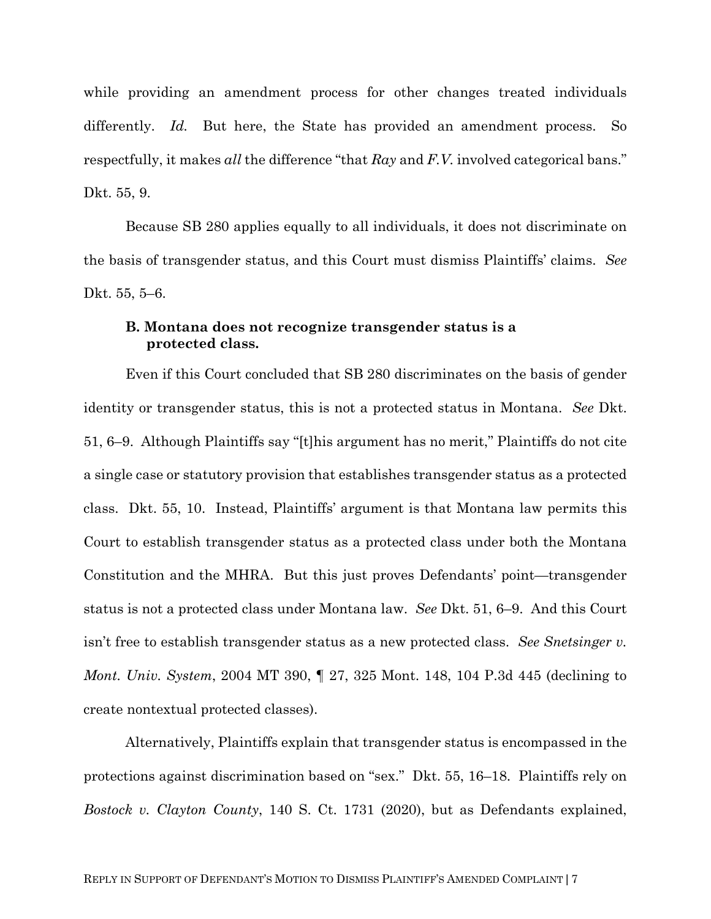while providing an amendment process for other changes treated individuals differently. *Id.* But here, the State has provided an amendment process. So respectfully, it makes *all* the difference "that *Ray* and *F.V.* involved categorical bans." Dkt. 55, 9.

Because SB 280 applies equally to all individuals, it does not discriminate on the basis of transgender status, and this Court must dismiss Plaintiffs' claims. *See*  Dkt. 55, 5–6.

#### **B. Montana does not recognize transgender status is a protected class.**

Even if this Court concluded that SB 280 discriminates on the basis of gender identity or transgender status, this is not a protected status in Montana. *See* Dkt. 51, 6–9. Although Plaintiffs say "[t]his argument has no merit," Plaintiffs do not cite a single case or statutory provision that establishes transgender status as a protected class. Dkt. 55, 10. Instead, Plaintiffs' argument is that Montana law permits this Court to establish transgender status as a protected class under both the Montana Constitution and the MHRA. But this just proves Defendants' point—transgender status is not a protected class under Montana law. *See* Dkt. 51, 6–9. And this Court isn't free to establish transgender status as a new protected class. *See Snetsinger v. Mont. Univ. System*, 2004 MT 390, ¶ 27, 325 Mont. 148, 104 P.3d 445 (declining to create nontextual protected classes).

Alternatively, Plaintiffs explain that transgender status is encompassed in the protections against discrimination based on "sex." Dkt. 55, 16–18. Plaintiffs rely on *Bostock v. Clayton County*, 140 S. Ct. 1731 (2020), but as Defendants explained,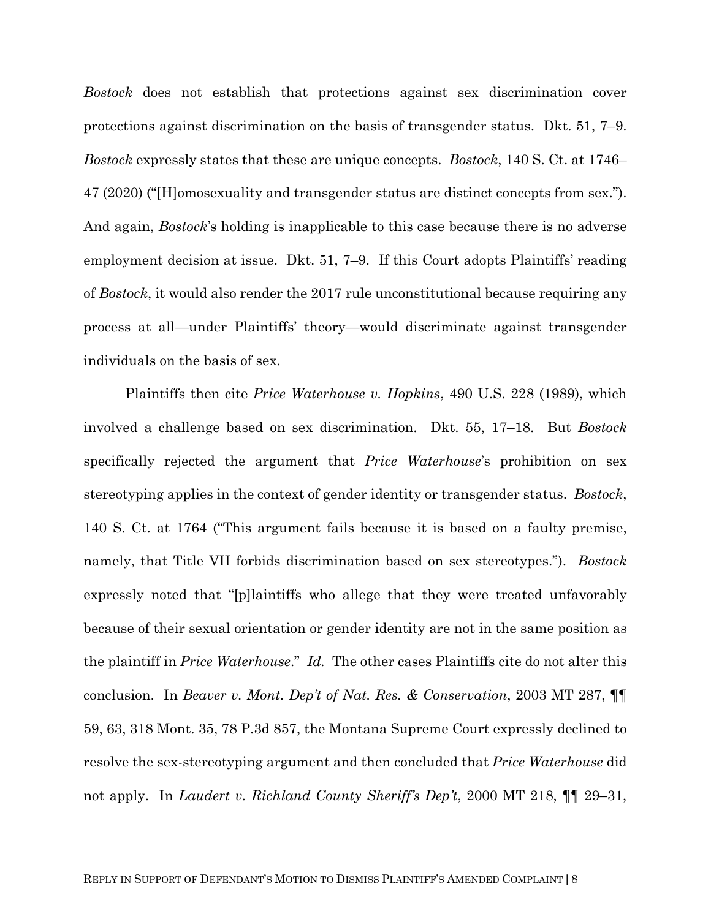*Bostock* does not establish that protections against sex discrimination cover protections against discrimination on the basis of transgender status. Dkt. 51, 7–9. *Bostock* expressly states that these are unique concepts. *Bostock*, 140 S. Ct. at 1746– 47 (2020) ("[H]omosexuality and transgender status are distinct concepts from sex."). And again, *Bostock*'s holding is inapplicable to this case because there is no adverse employment decision at issue. Dkt. 51, 7–9. If this Court adopts Plaintiffs' reading of *Bostock*, it would also render the 2017 rule unconstitutional because requiring any process at all—under Plaintiffs' theory—would discriminate against transgender individuals on the basis of sex.

Plaintiffs then cite *Price Waterhouse v. Hopkins*, 490 U.S. 228 (1989), which involved a challenge based on sex discrimination.Dkt. 55, 17–18. But *Bostock* specifically rejected the argument that *Price Waterhouse*'s prohibition on sex stereotyping applies in the context of gender identity or transgender status. *Bostock*, 140 S. Ct. at 1764 ("This argument fails because it is based on a faulty premise, namely, that Title VII forbids discrimination based on sex stereotypes."). *Bostock*  expressly noted that "[p]laintiffs who allege that they were treated unfavorably because of their sexual orientation or gender identity are not in the same position as the plaintiff in *Price Waterhouse*." *Id.* The other cases Plaintiffs cite do not alter this conclusion. In *Beaver v. Mont. Dep't of Nat. Res. & Conservation*, 2003 MT 287, ¶¶ 59, 63, 318 Mont. 35, 78 P.3d 857, the Montana Supreme Court expressly declined to resolve the sex-stereotyping argument and then concluded that *Price Waterhouse* did not apply. In *Laudert v. Richland County Sheriff's Dep't*, 2000 MT 218, ¶¶ 29–31,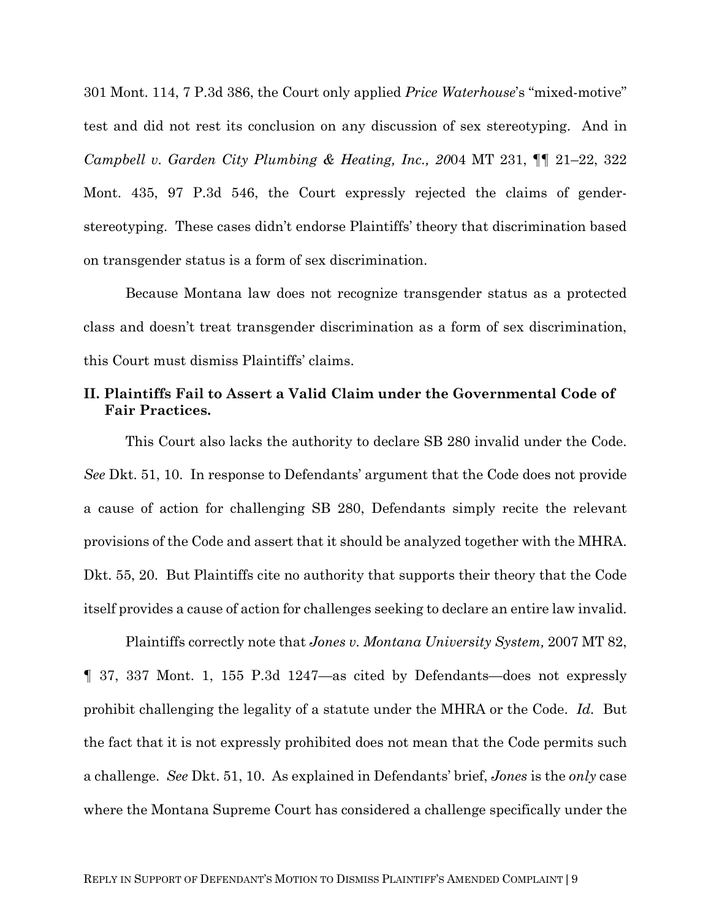301 Mont. 114, 7 P.3d 386, the Court only applied *Price Waterhouse*'s "mixed-motive" test and did not rest its conclusion on any discussion of sex stereotyping. And in *Campbell v. Garden City Plumbing & Heating, Inc., 20*04 MT 231, ¶¶ 21–22, 322 Mont. 435, 97 P.3d 546, the Court expressly rejected the claims of genderstereotyping. These cases didn't endorse Plaintiffs' theory that discrimination based on transgender status is a form of sex discrimination.

Because Montana law does not recognize transgender status as a protected class and doesn't treat transgender discrimination as a form of sex discrimination, this Court must dismiss Plaintiffs' claims.

### **II. Plaintiffs Fail to Assert a Valid Claim under the Governmental Code of Fair Practices.**

This Court also lacks the authority to declare SB 280 invalid under the Code. *See* Dkt. 51, 10. In response to Defendants' argument that the Code does not provide a cause of action for challenging SB 280, Defendants simply recite the relevant provisions of the Code and assert that it should be analyzed together with the MHRA. Dkt. 55, 20. But Plaintiffs cite no authority that supports their theory that the Code itself provides a cause of action for challenges seeking to declare an entire law invalid.

Plaintiffs correctly note that *Jones v. Montana University System,* 2007 MT 82, ¶ 37, 337 Mont. 1, 155 P.3d 1247—as cited by Defendants—does not expressly prohibit challenging the legality of a statute under the MHRA or the Code. *Id.* But the fact that it is not expressly prohibited does not mean that the Code permits such a challenge. *See* Dkt. 51, 10. As explained in Defendants' brief, *Jones* is the *only* case where the Montana Supreme Court has considered a challenge specifically under the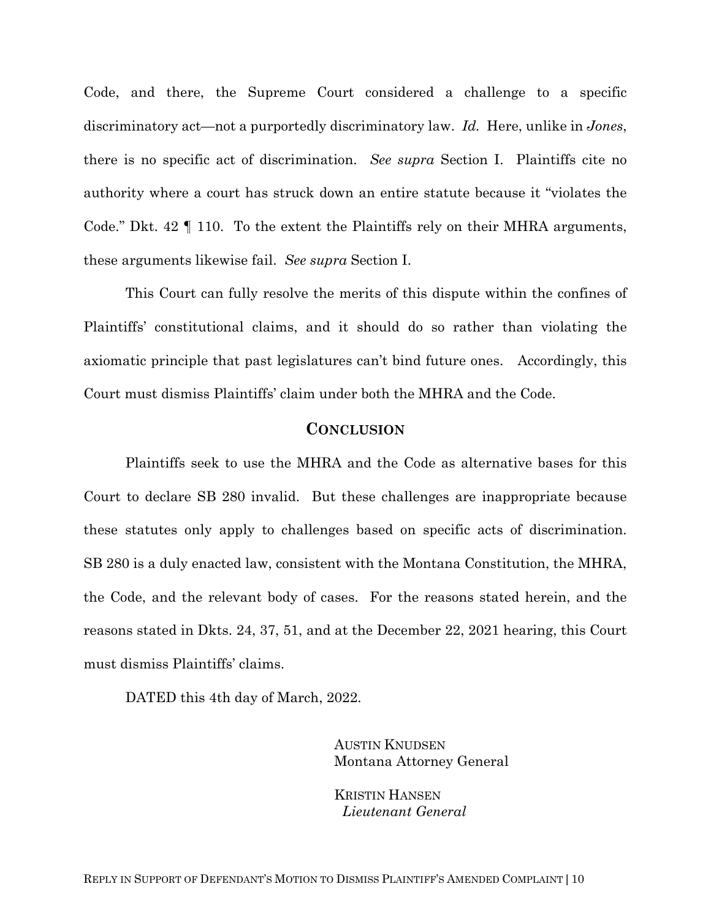Code, and there, the Supreme Court considered a challenge to a specific discriminatory act—not a purportedly discriminatory law. *Id.* Here, unlike in *Jones*, there is no specific act of discrimination. *See supra* Section I. Plaintiffs cite no authority where a court has struck down an entire statute because it "violates the Code." Dkt. 42 ¶ 110. To the extent the Plaintiffs rely on their MHRA arguments, these arguments likewise fail. *See supra* Section I.

This Court can fully resolve the merits of this dispute within the confines of Plaintiffs' constitutional claims, and it should do so rather than violating the axiomatic principle that past legislatures can't bind future ones. Accordingly, this Court must dismiss Plaintiffs' claim under both the MHRA and the Code.

#### **CONCLUSION**

Plaintiffs seek to use the MHRA and the Code as alternative bases for this Court to declare SB 280 invalid. But these challenges are inappropriate because these statutes only apply to challenges based on specific acts of discrimination. SB 280 is a duly enacted law, consistent with the Montana Constitution, the MHRA, the Code, and the relevant body of cases. For the reasons stated herein, and the reasons stated in Dkts. 24, 37, 51, and at the December 22, 2021 hearing, this Court must dismiss Plaintiffs' claims.

DATED this 4th day of March, 2022.

AUSTIN KNUDSEN Montana Attorney General

KRISTIN HANSEN *Lieutenant General*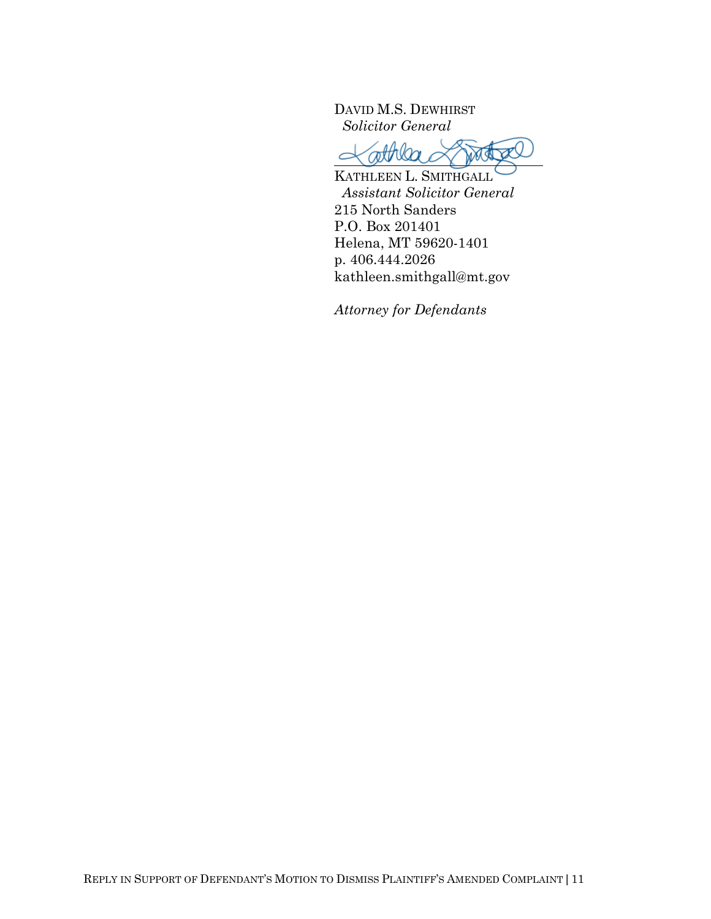DAVID M.S. DEWHIRST  *Solicitor General* 

 $\subset$ *attriba*  $\bigcirc$ 

KATHLEEN L. SMITHGALL *Assistant Solicitor General* 215 North Sanders P.O. Box 201401 Helena, MT 59620-1401 p. 406.444.2026 kathleen.smithgall@mt.gov

*Attorney for Defendants*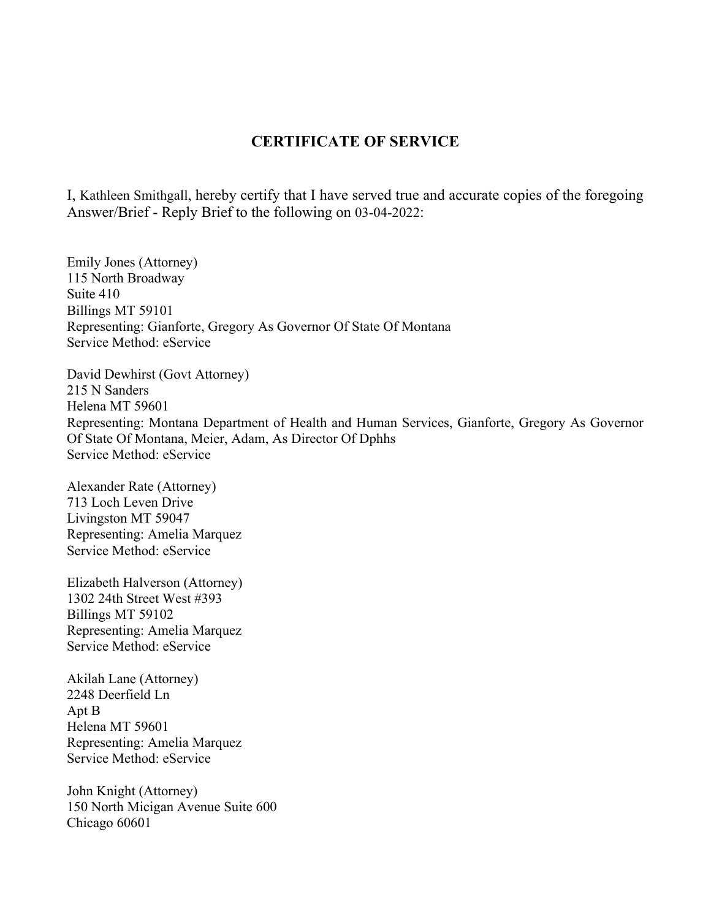## **CERTIFICATE OF SERVICE**

I, Kathleen Smithgall, hereby certify that I have served true and accurate copies of the foregoing Answer/Brief - Reply Brief to the following on 03-04-2022:

Emily Jones (Attorney) 115 North Broadway Suite 410 Billings MT 59101 Representing: Gianforte, Gregory As Governor Of State Of Montana Service Method: eService

David Dewhirst (Govt Attorney) 215 N Sanders Helena MT 59601 Representing: Montana Department of Health and Human Services, Gianforte, Gregory As Governor Of State Of Montana, Meier, Adam, As Director Of Dphhs Service Method: eService

Alexander Rate (Attorney) 713 Loch Leven Drive Livingston MT 59047 Representing: Amelia Marquez Service Method: eService

Elizabeth Halverson (Attorney) 1302 24th Street West #393 Billings MT 59102 Representing: Amelia Marquez Service Method: eService

Akilah Lane (Attorney) 2248 Deerfield Ln Apt B Helena MT 59601 Representing: Amelia Marquez Service Method: eService

John Knight (Attorney) 150 North Micigan Avenue Suite 600 Chicago 60601